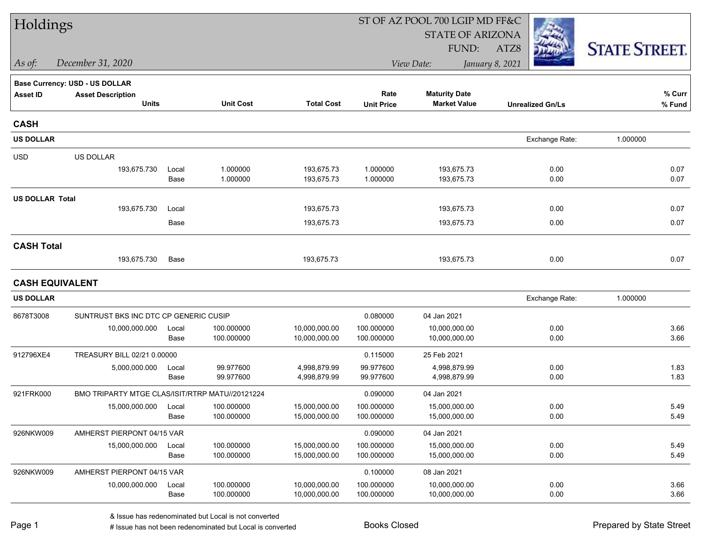| Holdings               |                                                 |       |                  |                   |                   | ST OF AZ POOL 700 LGIP MD FF&C |                         |                      |
|------------------------|-------------------------------------------------|-------|------------------|-------------------|-------------------|--------------------------------|-------------------------|----------------------|
|                        |                                                 |       |                  |                   |                   | <b>STATE OF ARIZONA</b>        |                         |                      |
|                        |                                                 |       |                  |                   |                   | FUND:                          | ATZ8                    | <b>STATE STREET.</b> |
| As of:                 | December 31, 2020                               |       |                  |                   |                   | View Date:                     | January 8, 2021         |                      |
|                        | Base Currency: USD - US DOLLAR                  |       |                  |                   |                   |                                |                         |                      |
| <b>Asset ID</b>        | <b>Asset Description</b>                        |       |                  |                   | Rate              | <b>Maturity Date</b>           |                         | % Curr               |
|                        | <b>Units</b>                                    |       | <b>Unit Cost</b> | <b>Total Cost</b> | <b>Unit Price</b> | <b>Market Value</b>            | <b>Unrealized Gn/Ls</b> | % Fund               |
| <b>CASH</b>            |                                                 |       |                  |                   |                   |                                |                         |                      |
| <b>US DOLLAR</b>       |                                                 |       |                  |                   |                   |                                | Exchange Rate:          | 1.000000             |
| <b>USD</b>             | US DOLLAR                                       |       |                  |                   |                   |                                |                         |                      |
|                        | 193,675.730                                     | Local | 1.000000         | 193,675.73        | 1.000000          | 193,675.73                     | 0.00                    | 0.07                 |
|                        |                                                 | Base  | 1.000000         | 193,675.73        | 1.000000          | 193,675.73                     | 0.00                    | 0.07                 |
| <b>US DOLLAR Total</b> |                                                 |       |                  |                   |                   |                                |                         |                      |
|                        | 193,675.730                                     | Local |                  | 193,675.73        |                   | 193,675.73                     | 0.00                    | 0.07                 |
|                        |                                                 | Base  |                  | 193,675.73        |                   | 193,675.73                     | 0.00                    | 0.07                 |
| <b>CASH Total</b>      |                                                 |       |                  |                   |                   |                                |                         |                      |
|                        | 193,675.730                                     | Base  |                  | 193,675.73        |                   | 193,675.73                     | 0.00                    | 0.07                 |
|                        | <b>CASH EQUIVALENT</b>                          |       |                  |                   |                   |                                |                         |                      |
| <b>US DOLLAR</b>       |                                                 |       |                  |                   |                   |                                | Exchange Rate:          | 1.000000             |
| 8678T3008              | SUNTRUST BKS INC DTC CP GENERIC CUSIP           |       |                  |                   | 0.080000          | 04 Jan 2021                    |                         |                      |
|                        | 10,000,000.000                                  | Local | 100.000000       | 10,000,000.00     | 100.000000        | 10,000,000.00                  | 0.00                    | 3.66                 |
|                        |                                                 | Base  | 100.000000       | 10,000,000.00     | 100.000000        | 10,000,000.00                  | 0.00                    | 3.66                 |
| 912796XE4              | TREASURY BILL 02/21 0.00000                     |       |                  |                   | 0.115000          | 25 Feb 2021                    |                         |                      |
|                        | 5,000,000.000                                   | Local | 99.977600        | 4,998,879.99      | 99.977600         | 4,998,879.99                   | 0.00                    | 1.83                 |
|                        |                                                 | Base  | 99.977600        | 4,998,879.99      | 99.977600         | 4,998,879.99                   | 0.00                    | 1.83                 |
| 921FRK000              | BMO TRIPARTY MTGE CLAS/ISIT/RTRP MATU//20121224 |       |                  |                   | 0.090000          | 04 Jan 2021                    |                         |                      |
|                        | 15,000,000.000                                  | Local | 100.000000       | 15,000,000.00     | 100.000000        | 15,000,000.00                  | 0.00                    | 5.49                 |
|                        |                                                 | Base  | 100.000000       | 15,000,000.00     | 100.000000        | 15,000,000.00                  | 0.00                    | 5.49                 |
| 926NKW009              | AMHERST PIERPONT 04/15 VAR                      |       |                  |                   | 0.090000          | 04 Jan 2021                    |                         |                      |
|                        | 15,000,000.000                                  | Local | 100.000000       | 15,000,000.00     | 100.000000        | 15,000,000.00                  | 0.00                    | 5.49                 |
|                        |                                                 | Base  | 100.000000       | 15,000,000.00     | 100.000000        | 15,000,000.00                  | 0.00                    | 5.49                 |
| 926NKW009              | AMHERST PIERPONT 04/15 VAR                      |       |                  |                   | 0.100000          | 08 Jan 2021                    |                         |                      |
|                        | 10,000,000.000                                  | Local | 100.000000       | 10,000,000.00     | 100.000000        | 10,000,000.00                  | 0.00                    | 3.66                 |
|                        |                                                 | Base  | 100.000000       | 10,000,000.00     | 100.000000        | 10,000,000.00                  | 0.00                    | 3.66                 |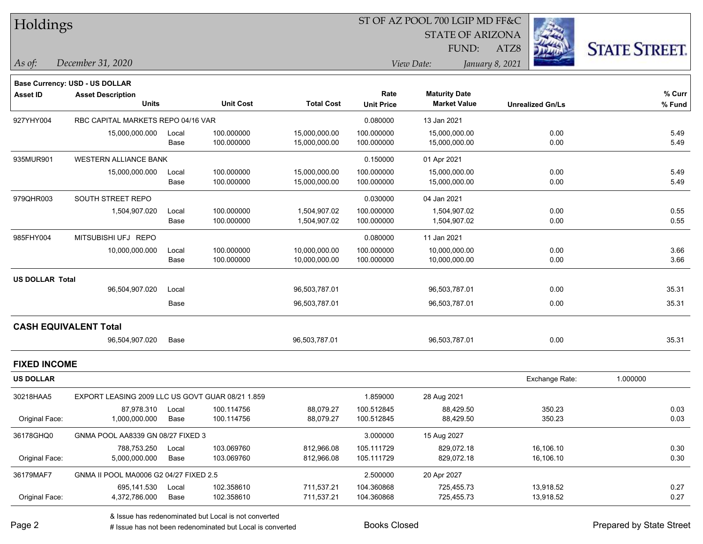| <b>Holdings</b> |  |
|-----------------|--|
|-----------------|--|

### ST OF AZ POOL 700 LGIP MD FF&C

STATE OF ARIZONA

FUND:

**Maturity Date**



**% Fund**

**% Curr**

*December 31, 2020 As of: View Date: January 8, 2021*

**Base Currency: USD - US DOLLAR**

ATZ8

|                     | <b>Units</b>                                     |       | <b>Unit Cost</b> | <b>Total Cost</b> | <b>Unit Price</b> | <b>Market Value</b> | <b>Unrealized Gn/Ls</b> | % Fun    |
|---------------------|--------------------------------------------------|-------|------------------|-------------------|-------------------|---------------------|-------------------------|----------|
| 927YHY004           | RBC CAPITAL MARKETS REPO 04/16 VAR               |       |                  |                   | 0.080000          | 13 Jan 2021         |                         |          |
|                     | 15,000,000.000                                   | Local | 100.000000       | 15,000,000.00     | 100.000000        | 15,000,000.00       | 0.00                    | 5.49     |
|                     |                                                  | Base  | 100.000000       | 15,000,000.00     | 100.000000        | 15,000,000.00       | 0.00                    | 5.49     |
| 935MUR901           | <b>WESTERN ALLIANCE BANK</b>                     |       |                  |                   | 0.150000          | 01 Apr 2021         |                         |          |
|                     | 15,000,000.000                                   | Local | 100.000000       | 15,000,000.00     | 100.000000        | 15,000,000.00       | 0.00                    | 5.49     |
|                     |                                                  | Base  | 100.000000       | 15,000,000.00     | 100.000000        | 15,000,000.00       | 0.00                    | 5.49     |
| 979QHR003           | SOUTH STREET REPO                                |       |                  |                   | 0.030000          | 04 Jan 2021         |                         |          |
|                     | 1,504,907.020                                    | Local | 100.000000       | 1,504,907.02      | 100.000000        | 1,504,907.02        | 0.00                    | 0.55     |
|                     |                                                  | Base  | 100.000000       | 1,504,907.02      | 100.000000        | 1,504,907.02        | 0.00                    | 0.55     |
| 985FHY004           | MITSUBISHI UFJ REPO                              |       |                  |                   | 0.080000          | 11 Jan 2021         |                         |          |
|                     | 10,000,000.000                                   | Local | 100.000000       | 10,000,000.00     | 100.000000        | 10,000,000.00       | 0.00                    | 3.66     |
|                     |                                                  | Base  | 100.000000       | 10,000,000.00     | 100.000000        | 10,000,000.00       | 0.00                    | 3.66     |
| US DOLLAR Total     |                                                  |       |                  |                   |                   |                     |                         |          |
|                     | 96,504,907.020                                   | Local |                  | 96,503,787.01     |                   | 96,503,787.01       | 0.00                    | 35.31    |
|                     |                                                  | Base  |                  | 96,503,787.01     |                   | 96,503,787.01       | 0.00                    | 35.31    |
|                     | <b>CASH EQUIVALENT Total</b>                     |       |                  |                   |                   |                     |                         |          |
|                     | 96,504,907.020                                   | Base  |                  | 96,503,787.01     |                   | 96,503,787.01       | 0.00                    | 35.31    |
| <b>FIXED INCOME</b> |                                                  |       |                  |                   |                   |                     |                         |          |
| US DOLLAR           |                                                  |       |                  |                   |                   |                     | Exchange Rate:          | 1.000000 |
| 30218HAA5           | EXPORT LEASING 2009 LLC US GOVT GUAR 08/21 1.859 |       |                  |                   | 1.859000          | 28 Aug 2021         |                         |          |
|                     | 27.072.210 Local                                 |       | 100.111756       | <b>88 070 27</b>  | 100E1284E         | <b>88.420.50</b>    | 25022                   | 0.03     |

|                                        |            |                                                                                  | 28 Aug 2021                                                  |           |      |
|----------------------------------------|------------|----------------------------------------------------------------------------------|--------------------------------------------------------------|-----------|------|
| 87.978.310<br>Local                    | 88.079.27  | 100.512845                                                                       | 88,429.50                                                    | 350.23    | 0.03 |
| 1.000.000.000<br>Base                  | 88.079.27  | 100.512845                                                                       | 88.429.50                                                    | 350.23    | 0.03 |
| GNMA POOL AA8339 GN 08/27 FIXED 3      |            | 3.000000                                                                         | 15 Aug 2027                                                  |           |      |
| 788.753.250<br>Local                   | 812.966.08 | 105.111729                                                                       | 829.072.18                                                   | 16.106.10 | 0.30 |
| 5.000.000.000<br>Base                  | 812,966.08 | 105.111729                                                                       | 829.072.18                                                   | 16,106.10 | 0.30 |
| GNMA II POOL MA0006 G2 04/27 FIXED 2.5 |            | 2.500000                                                                         | 20 Apr 2027                                                  |           |      |
| 695.141.530<br>Local                   | 711.537.21 | 104.360868                                                                       | 725.455.73                                                   | 13.918.52 | 0.27 |
| 4,372,786.000<br>Base                  | 711,537.21 | 104.360868                                                                       | 725.455.73                                                   | 13,918.52 | 0.27 |
|                                        |            | 100.114756<br>100.114756<br>103.069760<br>103.069760<br>102.358610<br>102.358610 | 1.859000<br>EXPORT LEASING 2009 LLC US GOVT GUAR 08/21 1.859 |           |      |

**Asset ID Asset Description Rate**

e e

# Issue has not been redenominated but Local is converted Books Closed Prepared by State Street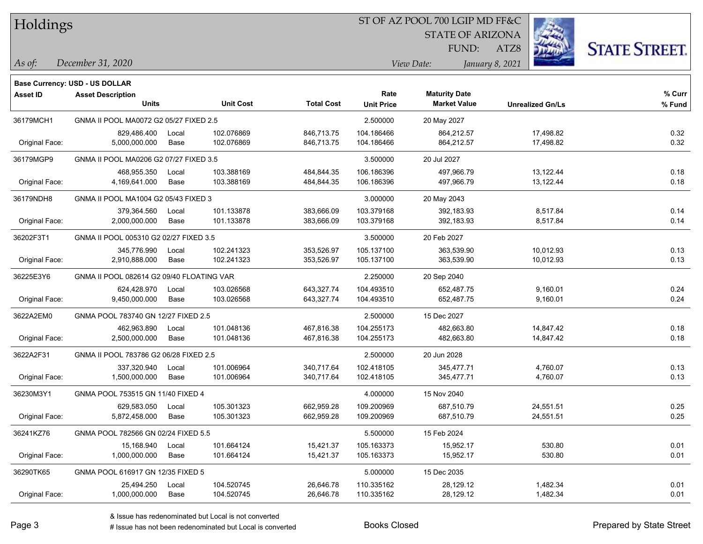## ST OF AZ POOL 700 LGIP MD FF&C

STATE OF ARIZONA

FUND:



*December 31, 2020 As of: View Date: January 8, 2021*

**Base Currency: USD - US DOLLAR**

ATZ8

| <b>Asset ID</b> | <b>Asset Description</b><br><b>Units</b>  |       | <b>Unit Cost</b> | <b>Total Cost</b> | Rate              | <b>Maturity Date</b><br><b>Market Value</b> |                         | % Curr |
|-----------------|-------------------------------------------|-------|------------------|-------------------|-------------------|---------------------------------------------|-------------------------|--------|
|                 |                                           |       |                  |                   | <b>Unit Price</b> |                                             | <b>Unrealized Gn/Ls</b> | % Fund |
| 36179MCH1       | GNMA II POOL MA0072 G2 05/27 FIXED 2.5    |       |                  |                   | 2.500000          | 20 May 2027                                 |                         |        |
|                 | 829,486.400                               | Local | 102.076869       | 846,713.75        | 104.186466        | 864,212.57                                  | 17,498.82               | 0.32   |
| Original Face:  | 5,000,000.000                             | Base  | 102.076869       | 846,713.75        | 104.186466        | 864,212.57                                  | 17,498.82               | 0.32   |
| 36179MGP9       | GNMA II POOL MA0206 G2 07/27 FIXED 3.5    |       |                  |                   | 3.500000          | 20 Jul 2027                                 |                         |        |
|                 | 468,955.350                               | Local | 103.388169       | 484,844.35        | 106.186396        | 497,966.79                                  | 13,122.44               | 0.18   |
| Original Face:  | 4,169,641.000                             | Base  | 103.388169       | 484,844.35        | 106.186396        | 497,966.79                                  | 13,122.44               | 0.18   |
| 36179NDH8       | GNMA II POOL MA1004 G2 05/43 FIXED 3      |       |                  |                   | 3.000000          | 20 May 2043                                 |                         |        |
|                 | 379,364.560                               | Local | 101.133878       | 383,666.09        | 103.379168        | 392,183.93                                  | 8,517.84                | 0.14   |
| Original Face:  | 2,000,000.000                             | Base  | 101.133878       | 383,666.09        | 103.379168        | 392,183.93                                  | 8,517.84                | 0.14   |
| 36202F3T1       | GNMA II POOL 005310 G2 02/27 FIXED 3.5    |       |                  |                   | 3.500000          | 20 Feb 2027                                 |                         |        |
|                 | 345.776.990                               | Local | 102.241323       | 353,526.97        | 105.137100        | 363.539.90                                  | 10,012.93               | 0.13   |
| Original Face:  | 2,910,888.000                             | Base  | 102.241323       | 353,526.97        | 105.137100        | 363,539.90                                  | 10,012.93               | 0.13   |
| 36225E3Y6       | GNMA II POOL 082614 G2 09/40 FLOATING VAR |       |                  |                   | 2.250000          | 20 Sep 2040                                 |                         |        |
|                 | 624,428.970                               | Local | 103.026568       | 643,327.74        | 104.493510        | 652,487.75                                  | 9,160.01                | 0.24   |
| Original Face:  | 9,450,000.000                             | Base  | 103.026568       | 643,327.74        | 104.493510        | 652,487.75                                  | 9,160.01                | 0.24   |
| 3622A2EM0       | GNMA POOL 783740 GN 12/27 FIXED 2.5       |       |                  |                   | 2.500000          | 15 Dec 2027                                 |                         |        |
|                 | 462,963.890                               | Local | 101.048136       | 467,816.38        | 104.255173        | 482,663.80                                  | 14,847.42               | 0.18   |
| Original Face:  | 2,500,000.000                             | Base  | 101.048136       | 467,816.38        | 104.255173        | 482,663.80                                  | 14,847.42               | 0.18   |
| 3622A2F31       | GNMA II POOL 783786 G2 06/28 FIXED 2.5    |       |                  |                   | 2.500000          | 20 Jun 2028                                 |                         |        |
|                 | 337,320.940                               | Local | 101.006964       | 340,717.64        | 102.418105        | 345,477.71                                  | 4,760.07                | 0.13   |
| Original Face:  | 1,500,000.000                             | Base  | 101.006964       | 340,717.64        | 102.418105        | 345,477.71                                  | 4,760.07                | 0.13   |
| 36230M3Y1       | GNMA POOL 753515 GN 11/40 FIXED 4         |       |                  |                   | 4.000000          | 15 Nov 2040                                 |                         |        |
|                 | 629,583.050                               | Local | 105.301323       | 662,959.28        | 109.200969        | 687,510.79                                  | 24,551.51               | 0.25   |
| Original Face:  | 5,872,458.000                             | Base  | 105.301323       | 662,959.28        | 109.200969        | 687,510.79                                  | 24,551.51               | 0.25   |
| 36241KZ76       | GNMA POOL 782566 GN 02/24 FIXED 5.5       |       |                  |                   | 5.500000          | 15 Feb 2024                                 |                         |        |
|                 | 15,168.940                                | Local | 101.664124       | 15,421.37         | 105.163373        | 15,952.17                                   | 530.80                  | 0.01   |
| Original Face:  | 1,000,000.000                             | Base  | 101.664124       | 15,421.37         | 105.163373        | 15,952.17                                   | 530.80                  | 0.01   |
| 36290TK65       | GNMA POOL 616917 GN 12/35 FIXED 5         |       |                  |                   | 5.000000          | 15 Dec 2035                                 |                         |        |
|                 | 25,494.250                                | Local | 104.520745       | 26,646.78         | 110.335162        | 28,129.12                                   | 1,482.34                | 0.01   |
| Original Face:  | 1,000,000.000                             | Base  | 104.520745       | 26,646.78         | 110.335162        | 28,129.12                                   | 1,482.34                | 0.01   |

# Issue has not been redenominated but Local is converted Books Closed Prepared by State Street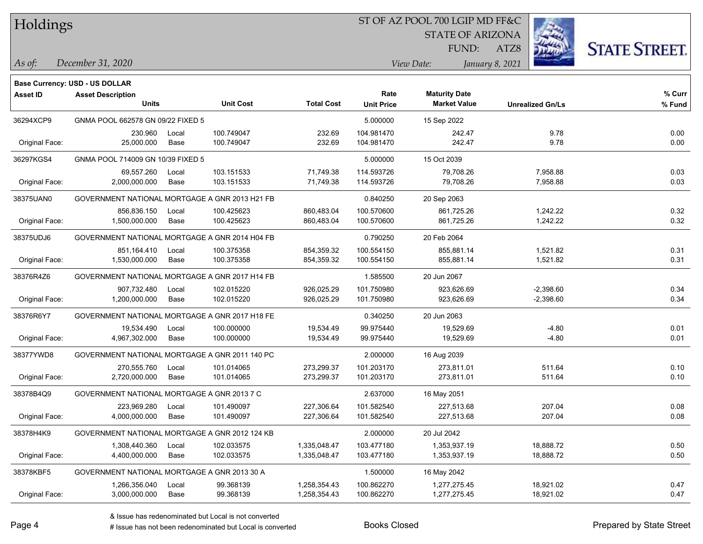#### ST OF AZ POOL 700 LGIP MD FF&C

**Maturity Date**

STATE OF ARIZONA

ATZ8



**% Curr**

*December 31, 2020 As of: View Date: January 8, 2021*

**Base Currency: USD - US DOLLAR**

FUND:

|                | <b>Units</b>                                   | <b>Unit Cost</b> | <b>Total Cost</b> | <b>Unit Price</b> | <b>Market Value</b> | <b>Unrealized Gn/Ls</b> | % Fund |
|----------------|------------------------------------------------|------------------|-------------------|-------------------|---------------------|-------------------------|--------|
| 36294XCP9      | GNMA POOL 662578 GN 09/22 FIXED 5              |                  |                   | 5.000000          | 15 Sep 2022         |                         |        |
|                | 230.960<br>Local                               | 100.749047       | 232.69            | 104.981470        | 242.47              | 9.78                    | 0.00   |
| Original Face: | 25.000.000<br>Base                             | 100.749047       | 232.69            | 104.981470        | 242.47              | 9.78                    | 0.00   |
| 36297KGS4      | GNMA POOL 714009 GN 10/39 FIXED 5              |                  |                   | 5.000000          | 15 Oct 2039         |                         |        |
|                | 69,557.260<br>Local                            | 103.151533       | 71,749.38         | 114.593726        | 79,708.26           | 7,958.88                | 0.03   |
| Original Face: | 2,000,000.000<br>Base                          | 103.151533       | 71,749.38         | 114.593726        | 79,708.26           | 7,958.88                | 0.03   |
| 38375UAN0      | GOVERNMENT NATIONAL MORTGAGE A GNR 2013 H21 FB |                  |                   | 0.840250          | 20 Sep 2063         |                         |        |
|                | 856,836.150<br>Local                           | 100.425623       | 860,483.04        | 100.570600        | 861,725.26          | 1,242.22                | 0.32   |
| Original Face: | 1,500,000.000<br>Base                          | 100.425623       | 860,483.04        | 100.570600        | 861,725.26          | 1,242.22                | 0.32   |
| 38375UDJ6      | GOVERNMENT NATIONAL MORTGAGE A GNR 2014 H04 FB |                  |                   | 0.790250          | 20 Feb 2064         |                         |        |
|                | 851,164.410<br>Local                           | 100.375358       | 854,359.32        | 100.554150        | 855,881.14          | 1,521.82                | 0.31   |
| Original Face: | 1,530,000.000<br>Base                          | 100.375358       | 854,359.32        | 100.554150        | 855,881.14          | 1,521.82                | 0.31   |
| 38376R4Z6      | GOVERNMENT NATIONAL MORTGAGE A GNR 2017 H14 FB |                  |                   | 1.585500          | 20 Jun 2067         |                         |        |
|                | 907,732.480<br>Local                           | 102.015220       | 926,025.29        | 101.750980        | 923,626.69          | $-2,398.60$             | 0.34   |
| Original Face: | 1,200,000.000<br>Base                          | 102.015220       | 926,025.29        | 101.750980        | 923,626.69          | $-2,398.60$             | 0.34   |
| 38376R6Y7      | GOVERNMENT NATIONAL MORTGAGE A GNR 2017 H18 FE |                  |                   | 0.340250          | 20 Jun 2063         |                         |        |
|                | 19,534.490<br>Local                            | 100.000000       | 19,534.49         | 99.975440         | 19,529.69           | $-4.80$                 | 0.01   |
| Original Face: | 4,967,302.000<br>Base                          | 100.000000       | 19,534.49         | 99.975440         | 19,529.69           | $-4.80$                 | 0.01   |
| 38377YWD8      | GOVERNMENT NATIONAL MORTGAGE A GNR 2011 140 PC |                  |                   | 2.000000          | 16 Aug 2039         |                         |        |
|                | 270,555.760<br>Local                           | 101.014065       | 273,299.37        | 101.203170        | 273,811.01          | 511.64                  | 0.10   |
| Original Face: | 2,720,000.000<br>Base                          | 101.014065       | 273,299.37        | 101.203170        | 273,811.01          | 511.64                  | 0.10   |
| 38378B4Q9      | GOVERNMENT NATIONAL MORTGAGE A GNR 2013 7 C    |                  |                   | 2.637000          | 16 May 2051         |                         |        |
|                | 223,969.280<br>Local                           | 101.490097       | 227,306.64        | 101.582540        | 227,513.68          | 207.04                  | 0.08   |
| Original Face: | 4,000,000.000<br>Base                          | 101.490097       | 227,306.64        | 101.582540        | 227,513.68          | 207.04                  | 0.08   |
| 38378H4K9      | GOVERNMENT NATIONAL MORTGAGE A GNR 2012 124 KB |                  |                   | 2.000000          | 20 Jul 2042         |                         |        |
|                | 1,308,440.360<br>Local                         | 102.033575       | 1,335,048.47      | 103.477180        | 1,353,937.19        | 18,888.72               | 0.50   |
| Original Face: | 4,400,000.000<br>Base                          | 102.033575       | 1,335,048.47      | 103.477180        | 1,353,937.19        | 18,888.72               | 0.50   |
| 38378KBF5      | GOVERNMENT NATIONAL MORTGAGE A GNR 2013 30 A   |                  |                   | 1.500000          | 16 May 2042         |                         |        |

Original Face: 3,000,000.000 Base 99.368139 1,258,354.43 100.862270 1,277,275.45 18,921.02 0.47

**Asset ID Asset Description Rate**

1,266,356.040 Local 99.368139 1,258,354.43 100.862270 1,277,275.45 18,921.02 0.47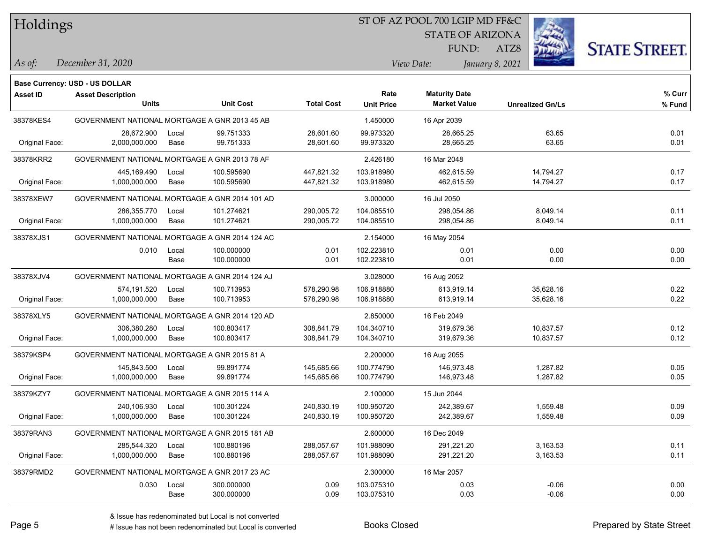### ST OF AZ POOL 700 LGIP MD FF&C

STATE OF ARIZONA

ATZ8



*December 31, 2020 As of: View Date: January 8, 2021*

**Base Currency: USD - US DOLLAR**

FUND:

| Asset ID       | <b>Asset Description</b>                       |       |                  |                   | Rate              | <b>Maturity Date</b> |                         | % Curr |
|----------------|------------------------------------------------|-------|------------------|-------------------|-------------------|----------------------|-------------------------|--------|
|                | <b>Units</b>                                   |       | <b>Unit Cost</b> | <b>Total Cost</b> | <b>Unit Price</b> | <b>Market Value</b>  | <b>Unrealized Gn/Ls</b> | % Fund |
| 38378KES4      | GOVERNMENT NATIONAL MORTGAGE A GNR 2013 45 AB  |       |                  |                   | 1.450000          | 16 Apr 2039          |                         |        |
|                | 28,672.900                                     | Local | 99.751333        | 28,601.60         | 99.973320         | 28,665.25            | 63.65                   | 0.01   |
| Original Face: | 2,000,000.000                                  | Base  | 99.751333        | 28,601.60         | 99.973320         | 28,665.25            | 63.65                   | 0.01   |
| 38378KRR2      | GOVERNMENT NATIONAL MORTGAGE A GNR 2013 78 AF  |       |                  |                   | 2.426180          | 16 Mar 2048          |                         |        |
|                | 445,169.490                                    | Local | 100.595690       | 447,821.32        | 103.918980        | 462,615.59           | 14,794.27               | 0.17   |
| Original Face: | 1,000,000.000                                  | Base  | 100.595690       | 447,821.32        | 103.918980        | 462,615.59           | 14,794.27               | 0.17   |
| 38378XEW7      | GOVERNMENT NATIONAL MORTGAGE A GNR 2014 101 AD |       |                  |                   | 3.000000          | 16 Jul 2050          |                         |        |
|                | 286,355.770                                    | Local | 101.274621       | 290,005.72        | 104.085510        | 298,054.86           | 8,049.14                | 0.11   |
| Original Face: | 1,000,000.000                                  | Base  | 101.274621       | 290,005.72        | 104.085510        | 298,054.86           | 8,049.14                | 0.11   |
| 38378XJS1      | GOVERNMENT NATIONAL MORTGAGE A GNR 2014 124 AC |       |                  |                   | 2.154000          | 16 May 2054          |                         |        |
|                | 0.010                                          | Local | 100.000000       | 0.01              | 102.223810        | 0.01                 | 0.00                    | 0.00   |
|                |                                                | Base  | 100.000000       | 0.01              | 102.223810        | 0.01                 | 0.00                    | 0.00   |
| 38378XJV4      | GOVERNMENT NATIONAL MORTGAGE A GNR 2014 124 AJ |       |                  |                   | 3.028000          | 16 Aug 2052          |                         |        |
|                | 574,191.520                                    | Local | 100.713953       | 578,290.98        | 106.918880        | 613,919.14           | 35,628.16               | 0.22   |
| Original Face: | 1,000,000.000                                  | Base  | 100.713953       | 578,290.98        | 106.918880        | 613,919.14           | 35,628.16               | 0.22   |
| 38378XLY5      | GOVERNMENT NATIONAL MORTGAGE A GNR 2014 120 AD |       |                  |                   | 2.850000          | 16 Feb 2049          |                         |        |
|                | 306,380.280                                    | Local | 100.803417       | 308,841.79        | 104.340710        | 319,679.36           | 10,837.57               | 0.12   |
| Original Face: | 1,000,000.000                                  | Base  | 100.803417       | 308,841.79        | 104.340710        | 319,679.36           | 10,837.57               | 0.12   |
| 38379KSP4      | GOVERNMENT NATIONAL MORTGAGE A GNR 2015 81 A   |       |                  |                   | 2.200000          | 16 Aug 2055          |                         |        |
|                | 145,843.500                                    | Local | 99.891774        | 145,685.66        | 100.774790        | 146,973.48           | 1,287.82                | 0.05   |
| Original Face: | 1,000,000.000                                  | Base  | 99.891774        | 145,685.66        | 100.774790        | 146,973.48           | 1,287.82                | 0.05   |
| 38379KZY7      | GOVERNMENT NATIONAL MORTGAGE A GNR 2015 114 A  |       |                  |                   | 2.100000          | 15 Jun 2044          |                         |        |
|                | 240,106.930                                    | Local | 100.301224       | 240,830.19        | 100.950720        | 242,389.67           | 1,559.48                | 0.09   |
| Original Face: | 1,000,000.000                                  | Base  | 100.301224       | 240,830.19        | 100.950720        | 242,389.67           | 1,559.48                | 0.09   |
| 38379RAN3      | GOVERNMENT NATIONAL MORTGAGE A GNR 2015 181 AB |       |                  |                   | 2.600000          | 16 Dec 2049          |                         |        |
|                | 285,544.320                                    | Local | 100.880196       | 288,057.67        | 101.988090        | 291,221.20           | 3,163.53                | 0.11   |
| Original Face: | 1,000,000.000                                  | Base  | 100.880196       | 288,057.67        | 101.988090        | 291,221.20           | 3,163.53                | 0.11   |
| 38379RMD2      | GOVERNMENT NATIONAL MORTGAGE A GNR 2017 23 AC  |       |                  |                   | 2.300000          | 16 Mar 2057          |                         |        |
|                | 0.030                                          | Local | 300.000000       | 0.09              | 103.075310        | 0.03                 | $-0.06$                 | 0.00   |
|                |                                                | Base  | 300.000000       | 0.09              | 103.075310        | 0.03                 | $-0.06$                 | 0.00   |

A ISSUE ISSUE ISSUE ISSUE ISSUE ISSUE ISSUE ISSUE ISSUE ISSUE ISSUE ISSUE ISSUE ISSUE ISSUE ISSUE ISSUE ISSUE I<br>
# Issue has not been redenominated but Local is converted **BOOKS** Closed **Prepared by State Street**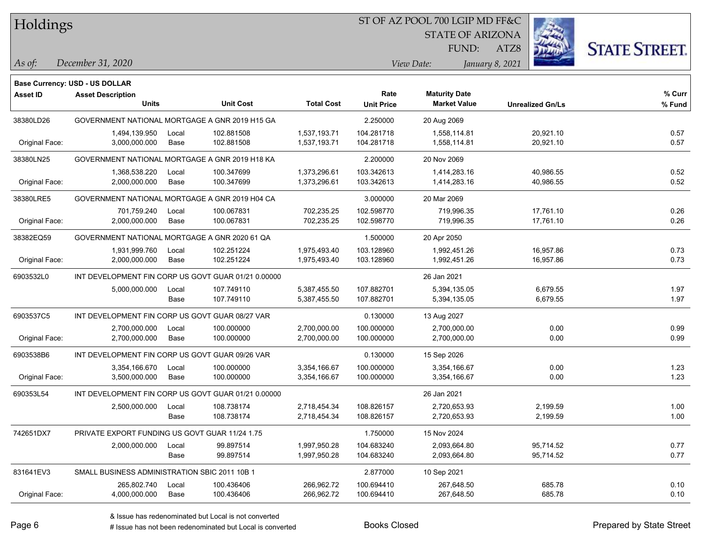### ST OF AZ POOL 700 LGIP MD FF&C

STATE OF ARIZONA

FUND:



*December 31, 2020 As of: View Date: January 8, 2021*

**Base Currency: USD - US DOLLAR**

ATZ8

| <b>Asset ID</b> | <b>Asset Description</b>                            |       |                  |                   | Rate              | <b>Maturity Date</b> |                         | % Curr |
|-----------------|-----------------------------------------------------|-------|------------------|-------------------|-------------------|----------------------|-------------------------|--------|
|                 | <b>Units</b>                                        |       | <b>Unit Cost</b> | <b>Total Cost</b> | <b>Unit Price</b> | <b>Market Value</b>  | <b>Unrealized Gn/Ls</b> | % Fund |
| 38380LD26       | GOVERNMENT NATIONAL MORTGAGE A GNR 2019 H15 GA      |       |                  |                   | 2.250000          | 20 Aug 2069          |                         |        |
|                 | 1,494,139.950                                       | Local | 102.881508       | 1,537,193.71      | 104.281718        | 1,558,114.81         | 20,921.10               | 0.57   |
| Original Face:  | 3,000,000.000                                       | Base  | 102.881508       | 1,537,193.71      | 104.281718        | 1,558,114.81         | 20,921.10               | 0.57   |
| 38380LN25       | GOVERNMENT NATIONAL MORTGAGE A GNR 2019 H18 KA      |       |                  |                   | 2.200000          | 20 Nov 2069          |                         |        |
|                 | 1,368,538.220                                       | Local | 100.347699       | 1,373,296.61      | 103.342613        | 1,414,283.16         | 40,986.55               | 0.52   |
| Original Face:  | 2,000,000.000                                       | Base  | 100.347699       | 1,373,296.61      | 103.342613        | 1,414,283.16         | 40,986.55               | 0.52   |
| 38380LRE5       | GOVERNMENT NATIONAL MORTGAGE A GNR 2019 H04 CA      |       |                  |                   | 3.000000          | 20 Mar 2069          |                         |        |
|                 | 701,759.240                                         | Local | 100.067831       | 702,235.25        | 102.598770        | 719,996.35           | 17,761.10               | 0.26   |
| Original Face:  | 2,000,000.000                                       | Base  | 100.067831       | 702,235.25        | 102.598770        | 719,996.35           | 17,761.10               | 0.26   |
| 38382EQ59       | GOVERNMENT NATIONAL MORTGAGE A GNR 2020 61 QA       |       |                  |                   | 1.500000          | 20 Apr 2050          |                         |        |
|                 | 1,931,999.760                                       | Local | 102.251224       | 1,975,493.40      | 103.128960        | 1,992,451.26         | 16,957.86               | 0.73   |
| Original Face:  | 2,000,000.000                                       | Base  | 102.251224       | 1,975,493.40      | 103.128960        | 1,992,451.26         | 16,957.86               | 0.73   |
| 6903532L0       | INT DEVELOPMENT FIN CORP US GOVT GUAR 01/21 0.00000 |       |                  |                   |                   | 26 Jan 2021          |                         |        |
|                 | 5,000,000.000                                       | Local | 107.749110       | 5,387,455.50      | 107.882701        | 5,394,135.05         | 6,679.55                | 1.97   |
|                 |                                                     | Base  | 107.749110       | 5,387,455.50      | 107.882701        | 5,394,135.05         | 6,679.55                | 1.97   |
| 6903537C5       | INT DEVELOPMENT FIN CORP US GOVT GUAR 08/27 VAR     |       |                  |                   | 0.130000          | 13 Aug 2027          |                         |        |
|                 | 2,700,000.000                                       | Local | 100.000000       | 2,700,000.00      | 100.000000        | 2,700,000.00         | 0.00                    | 0.99   |
| Original Face:  | 2,700,000.000                                       | Base  | 100.000000       | 2,700,000.00      | 100.000000        | 2,700,000.00         | 0.00                    | 0.99   |
| 6903538B6       | INT DEVELOPMENT FIN CORP US GOVT GUAR 09/26 VAR     |       |                  |                   | 0.130000          | 15 Sep 2026          |                         |        |
|                 | 3,354,166.670                                       | Local | 100.000000       | 3,354,166.67      | 100.000000        | 3,354,166.67         | 0.00                    | 1.23   |
| Original Face:  | 3,500,000.000                                       | Base  | 100.000000       | 3,354,166.67      | 100.000000        | 3,354,166.67         | 0.00                    | 1.23   |
| 690353L54       | INT DEVELOPMENT FIN CORP US GOVT GUAR 01/21 0.00000 |       |                  |                   |                   | 26 Jan 2021          |                         |        |
|                 | 2,500,000.000                                       | Local | 108.738174       | 2,718,454.34      | 108.826157        | 2,720,653.93         | 2,199.59                | 1.00   |
|                 |                                                     | Base  | 108.738174       | 2,718,454.34      | 108.826157        | 2,720,653.93         | 2,199.59                | 1.00   |
| 742651DX7       | PRIVATE EXPORT FUNDING US GOVT GUAR 11/24 1.75      |       |                  |                   | 1.750000          | 15 Nov 2024          |                         |        |
|                 | 2,000,000.000                                       | Local | 99.897514        | 1,997,950.28      | 104.683240        | 2,093,664.80         | 95,714.52               | 0.77   |
|                 |                                                     | Base  | 99.897514        | 1,997,950.28      | 104.683240        | 2,093,664.80         | 95,714.52               | 0.77   |
| 831641EV3       | SMALL BUSINESS ADMINISTRATION SBIC 2011 10B 1       |       |                  |                   | 2.877000          | 10 Sep 2021          |                         |        |
|                 | 265,802.740                                         | Local | 100.436406       | 266,962.72        | 100.694410        | 267,648.50           | 685.78                  | 0.10   |
| Original Face:  | 4,000,000.000                                       | Base  | 100.436406       | 266,962.72        | 100.694410        | 267,648.50           | 685.78                  | 0.10   |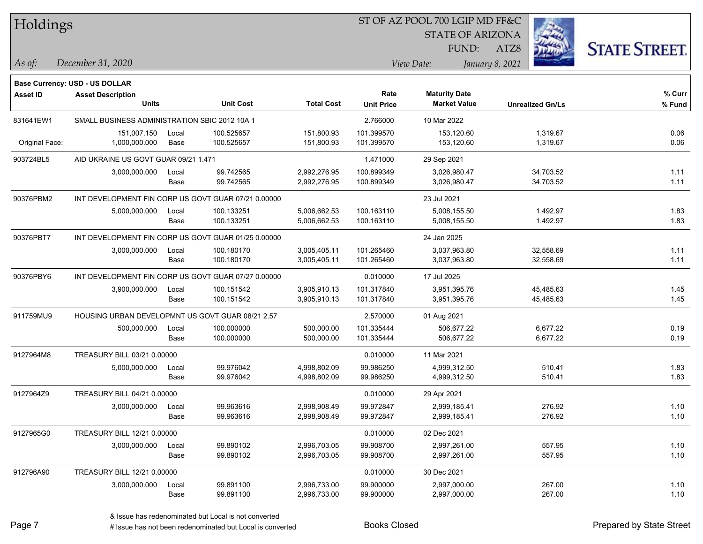| Holdings        |                                                     |       |                  |                   |                   | ST OF AZ POOL 700 LGIP MD FF&C |                         |                      |
|-----------------|-----------------------------------------------------|-------|------------------|-------------------|-------------------|--------------------------------|-------------------------|----------------------|
|                 |                                                     |       |                  |                   |                   | <b>STATE OF ARIZONA</b>        |                         |                      |
|                 |                                                     |       |                  |                   |                   | <b>FUND:</b>                   | ATZ8                    | <b>STATE STREET.</b> |
| $\vert$ As of:  | December 31, 2020                                   |       |                  |                   |                   | View Date:                     | January 8, 2021         |                      |
|                 |                                                     |       |                  |                   |                   |                                |                         |                      |
|                 | Base Currency: USD - US DOLLAR                      |       |                  |                   | Rate              | <b>Maturity Date</b>           |                         | % Curr               |
| <b>Asset ID</b> | <b>Asset Description</b><br><b>Units</b>            |       | <b>Unit Cost</b> | <b>Total Cost</b> | <b>Unit Price</b> | <b>Market Value</b>            | <b>Unrealized Gn/Ls</b> | % Fund               |
| 831641EW1       | SMALL BUSINESS ADMINISTRATION SBIC 2012 10A 1       |       |                  |                   | 2.766000          | 10 Mar 2022                    |                         |                      |
|                 | 151,007.150                                         | Local | 100.525657       | 151,800.93        | 101.399570        | 153,120.60                     | 1,319.67                | 0.06                 |
| Original Face:  | 1,000,000.000                                       | Base  | 100.525657       | 151,800.93        | 101.399570        | 153,120.60                     | 1,319.67                | 0.06                 |
| 903724BL5       | AID UKRAINE US GOVT GUAR 09/21 1.471                |       |                  |                   | 1.471000          | 29 Sep 2021                    |                         |                      |
|                 | 3,000,000.000                                       | Local | 99.742565        | 2,992,276.95      | 100.899349        | 3,026,980.47                   | 34,703.52               | 1.11                 |
|                 |                                                     | Base  | 99.742565        | 2,992,276.95      | 100.899349        | 3,026,980.47                   | 34,703.52               | 1.11                 |
| 90376PBM2       | INT DEVELOPMENT FIN CORP US GOVT GUAR 07/21 0.00000 |       |                  |                   |                   | 23 Jul 2021                    |                         |                      |
|                 | 5,000,000.000                                       | Local | 100.133251       | 5,006,662.53      | 100.163110        | 5,008,155.50                   | 1,492.97                | 1.83                 |
|                 |                                                     | Base  | 100.133251       | 5,006,662.53      | 100.163110        | 5,008,155.50                   | 1,492.97                | 1.83                 |
| 90376PBT7       | INT DEVELOPMENT FIN CORP US GOVT GUAR 01/25 0.00000 |       |                  |                   |                   | 24 Jan 2025                    |                         |                      |
|                 | 3,000,000.000                                       | Local | 100.180170       | 3,005,405.11      | 101.265460        | 3,037,963.80                   | 32,558.69               | 1.11                 |
|                 |                                                     | Base  | 100.180170       | 3,005,405.11      | 101.265460        | 3,037,963.80                   | 32,558.69               | 1.11                 |
| 90376PBY6       | INT DEVELOPMENT FIN CORP US GOVT GUAR 07/27 0.00000 |       |                  |                   | 0.010000          | 17 Jul 2025                    |                         |                      |
|                 | 3,900,000.000                                       | Local | 100.151542       | 3,905,910.13      | 101.317840        | 3,951,395.76                   | 45,485.63               | 1.45                 |
|                 |                                                     | Base  | 100.151542       | 3,905,910.13      | 101.317840        | 3,951,395.76                   | 45,485.63               | 1.45                 |
| 911759MU9       | HOUSING URBAN DEVELOPMNT US GOVT GUAR 08/21 2.57    |       |                  |                   | 2.570000          | 01 Aug 2021                    |                         |                      |
|                 | 500,000.000                                         | Local | 100.000000       | 500,000.00        | 101.335444        | 506,677.22                     | 6,677.22                | 0.19                 |
|                 |                                                     | Base  | 100.000000       | 500,000.00        | 101.335444        | 506,677.22                     | 6,677.22                | 0.19                 |
| 9127964M8       | TREASURY BILL 03/21 0.00000                         |       |                  |                   | 0.010000          | 11 Mar 2021                    |                         |                      |
|                 | 5,000,000.000                                       | Local | 99.976042        | 4,998,802.09      | 99.986250         | 4,999,312.50                   | 510.41                  | 1.83                 |
|                 |                                                     | Base  | 99.976042        | 4,998,802.09      | 99.986250         | 4,999,312.50                   | 510.41                  | 1.83                 |
| 9127964Z9       | TREASURY BILL 04/21 0.00000                         |       |                  |                   | 0.010000          | 29 Apr 2021                    |                         |                      |
|                 | 3,000,000.000                                       | Local | 99.963616        | 2,998,908.49      | 99.972847         | 2,999,185.41                   | 276.92                  | 1.10                 |
|                 |                                                     | Base  | 99.963616        | 2,998,908.49      | 99.972847         | 2,999,185.41                   | 276.92                  | 1.10                 |
| 9127965G0       | TREASURY BILL 12/21 0.00000                         |       |                  |                   | 0.010000          | 02 Dec 2021                    |                         |                      |
|                 | 3,000,000.000                                       | Local | 99.890102        | 2,996,703.05      | 99.908700         | 2,997,261.00                   | 557.95                  | 1.10                 |
|                 |                                                     | Base  | 99.890102        | 2,996,703.05      | 99.908700         | 2,997,261.00                   | 557.95                  | 1.10                 |
| 912796A90       | TREASURY BILL 12/21 0.00000                         |       |                  |                   | 0.010000          | 30 Dec 2021                    |                         |                      |
|                 | 3,000,000.000                                       | Local | 99.891100        | 2,996,733.00      | 99.900000         | 2,997,000.00                   | 267.00                  | 1.10                 |
|                 |                                                     | Base  | 99.891100        | 2,996,733.00      | 99.900000         | 2,997,000.00                   | 267.00                  | 1.10                 |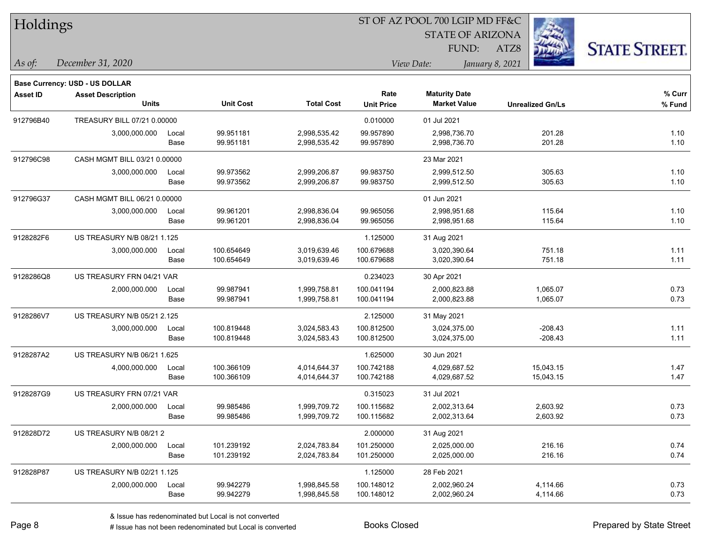| Holdings        |                                       |               |                          |                              |                          | ST OF AZ POOL 700 LGIP MD FF&C |                         |                      |
|-----------------|---------------------------------------|---------------|--------------------------|------------------------------|--------------------------|--------------------------------|-------------------------|----------------------|
|                 |                                       |               |                          |                              |                          | <b>STATE OF ARIZONA</b>        |                         |                      |
|                 |                                       |               |                          |                              |                          | FUND:                          | ATZ8                    | <b>STATE STREET.</b> |
| As of:          | December 31, 2020                     |               |                          |                              |                          | View Date:                     | January 8, 2021         |                      |
|                 | <b>Base Currency: USD - US DOLLAR</b> |               |                          |                              |                          |                                |                         |                      |
| <b>Asset ID</b> | <b>Asset Description</b>              |               |                          |                              | Rate                     | <b>Maturity Date</b>           |                         | % Curr               |
|                 | <b>Units</b>                          |               | <b>Unit Cost</b>         | <b>Total Cost</b>            | <b>Unit Price</b>        | <b>Market Value</b>            | <b>Unrealized Gn/Ls</b> | % Fund               |
| 912796B40       | TREASURY BILL 07/21 0.00000           |               |                          |                              | 0.010000                 | 01 Jul 2021                    |                         |                      |
|                 | 3,000,000.000                         | Local         | 99.951181                | 2,998,535.42                 | 99.957890                | 2,998,736.70                   | 201.28                  | 1.10                 |
|                 |                                       | Base          | 99.951181                | 2,998,535.42                 | 99.957890                | 2,998,736.70                   | 201.28                  | 1.10                 |
| 912796C98       | CASH MGMT BILL 03/21 0.00000          |               |                          |                              |                          | 23 Mar 2021                    |                         |                      |
|                 | 3,000,000.000                         | Local         | 99.973562                | 2,999,206.87                 | 99.983750                | 2,999,512.50                   | 305.63                  | 1.10                 |
|                 |                                       | Base          | 99.973562                | 2,999,206.87                 | 99.983750                | 2,999,512.50                   | 305.63                  | 1.10                 |
| 912796G37       | CASH MGMT BILL 06/21 0.00000          |               |                          |                              |                          | 01 Jun 2021                    |                         |                      |
|                 | 3,000,000.000                         | Local<br>Base | 99.961201<br>99.961201   | 2,998,836.04<br>2,998,836.04 | 99.965056<br>99.965056   | 2,998,951.68<br>2,998,951.68   | 115.64<br>115.64        | 1.10<br>1.10         |
|                 |                                       |               |                          |                              |                          |                                |                         |                      |
| 9128282F6       | US TREASURY N/B 08/21 1.125           |               |                          |                              | 1.125000                 | 31 Aug 2021                    |                         |                      |
|                 | 3,000,000.000                         | Local<br>Base | 100.654649<br>100.654649 | 3,019,639.46<br>3,019,639.46 | 100.679688<br>100.679688 | 3,020,390.64<br>3,020,390.64   | 751.18<br>751.18        | 1.11<br>1.11         |
|                 |                                       |               |                          |                              |                          |                                |                         |                      |
| 9128286Q8       | US TREASURY FRN 04/21 VAR             |               |                          |                              | 0.234023                 | 30 Apr 2021                    |                         |                      |
|                 | 2,000,000.000                         | Local<br>Base | 99.987941<br>99.987941   | 1,999,758.81<br>1,999,758.81 | 100.041194<br>100.041194 | 2,000,823.88<br>2,000,823.88   | 1,065.07<br>1,065.07    | 0.73<br>0.73         |
| 9128286V7       | US TREASURY N/B 05/21 2.125           |               |                          |                              | 2.125000                 |                                |                         |                      |
|                 | 3,000,000.000                         | Local         | 100.819448               | 3,024,583.43                 | 100.812500               | 31 May 2021<br>3,024,375.00    | $-208.43$               | 1.11                 |
|                 |                                       | Base          | 100.819448               | 3,024,583.43                 | 100.812500               | 3,024,375.00                   | $-208.43$               | 1.11                 |
| 9128287A2       | US TREASURY N/B 06/21 1.625           |               |                          |                              | 1.625000                 | 30 Jun 2021                    |                         |                      |
|                 | 4,000,000.000                         | Local         | 100.366109               | 4,014,644.37                 | 100.742188               | 4,029,687.52                   | 15,043.15               | 1.47                 |
|                 |                                       | Base          | 100.366109               | 4,014,644.37                 | 100.742188               | 4,029,687.52                   | 15,043.15               | 1.47                 |
| 9128287G9       | US TREASURY FRN 07/21 VAR             |               |                          |                              | 0.315023                 | 31 Jul 2021                    |                         |                      |
|                 | 2,000,000.000                         | Local         | 99.985486                | 1,999,709.72                 | 100.115682               | 2,002,313.64                   | 2,603.92                | 0.73                 |
|                 |                                       | Base          | 99.985486                | 1,999,709.72                 | 100.115682               | 2,002,313.64                   | 2,603.92                | 0.73                 |
| 912828D72       | US TREASURY N/B 08/21 2               |               |                          |                              | 2.000000                 | 31 Aug 2021                    |                         |                      |
|                 | 2,000,000.000                         | Local         | 101.239192               | 2,024,783.84                 | 101.250000               | 2,025,000.00                   | 216.16                  | 0.74                 |
|                 |                                       | Base          | 101.239192               | 2,024,783.84                 | 101.250000               | 2,025,000.00                   | 216.16                  | 0.74                 |
| 912828P87       | US TREASURY N/B 02/21 1.125           |               |                          |                              | 1.125000                 | 28 Feb 2021                    |                         |                      |
|                 | 2,000,000.000                         | Local         | 99.942279                | 1,998,845.58                 | 100.148012               | 2,002,960.24                   | 4,114.66                | 0.73                 |
|                 |                                       | Base          | 99.942279                | 1,998,845.58                 | 100.148012               | 2,002,960.24                   | 4,114.66                | 0.73                 |

denote the redenominated but Local is converted Books Closed Prepared by State Street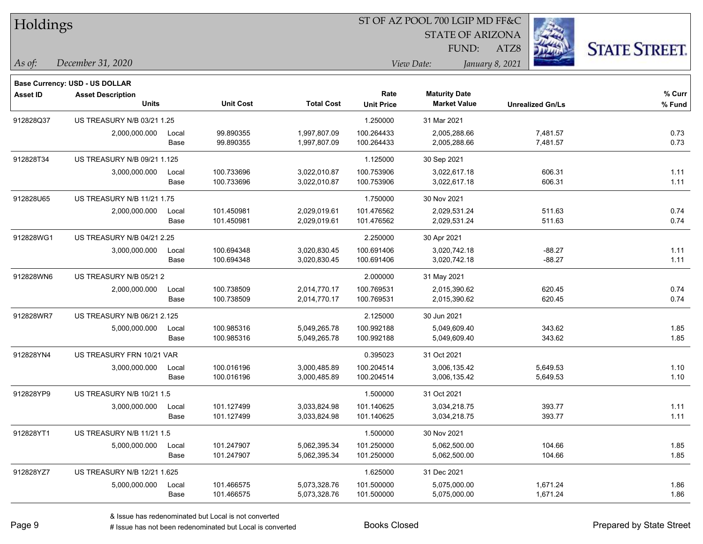| Holdings        |                                          |       |                  |                   |                           | ST OF AZ POOL 700 LGIP MD FF&C              |                         |                      |  |
|-----------------|------------------------------------------|-------|------------------|-------------------|---------------------------|---------------------------------------------|-------------------------|----------------------|--|
|                 |                                          |       |                  |                   |                           | <b>STATE OF ARIZONA</b>                     |                         |                      |  |
|                 |                                          |       |                  |                   |                           | FUND:                                       | ATZ8                    | <b>STATE STREET.</b> |  |
| As of:          | December 31, 2020                        |       |                  |                   |                           | View Date:                                  | January 8, 2021         |                      |  |
|                 |                                          |       |                  |                   |                           |                                             |                         |                      |  |
|                 | Base Currency: USD - US DOLLAR           |       |                  |                   |                           |                                             |                         |                      |  |
| <b>Asset ID</b> | <b>Asset Description</b><br><b>Units</b> |       | <b>Unit Cost</b> | <b>Total Cost</b> | Rate<br><b>Unit Price</b> | <b>Maturity Date</b><br><b>Market Value</b> | <b>Unrealized Gn/Ls</b> | % Curr<br>$%$ Fund   |  |
| 912828Q37       | US TREASURY N/B 03/21 1.25               |       |                  |                   | 1.250000                  | 31 Mar 2021                                 |                         |                      |  |
|                 | 2,000,000.000                            | Local | 99.890355        | 1,997,807.09      | 100.264433                | 2,005,288.66                                | 7,481.57                | 0.73                 |  |
|                 |                                          | Base  | 99.890355        | 1,997,807.09      | 100.264433                | 2,005,288.66                                | 7,481.57                | 0.73                 |  |
| 912828T34       | US TREASURY N/B 09/21 1.125              |       |                  |                   | 1.125000                  | 30 Sep 2021                                 |                         |                      |  |
|                 | 3,000,000.000                            | Local | 100.733696       | 3,022,010.87      | 100.753906                | 3,022,617.18                                | 606.31                  | 1.11                 |  |
|                 |                                          | Base  | 100.733696       | 3,022,010.87      | 100.753906                | 3,022,617.18                                | 606.31                  | 1.11                 |  |
| 912828U65       | US TREASURY N/B 11/21 1.75               |       |                  |                   | 1.750000                  | 30 Nov 2021                                 |                         |                      |  |
|                 | 2,000,000.000                            | Local | 101.450981       | 2,029,019.61      | 101.476562                | 2,029,531.24                                | 511.63                  | 0.74                 |  |
|                 |                                          | Base  | 101.450981       | 2,029,019.61      | 101.476562                | 2,029,531.24                                | 511.63                  | 0.74                 |  |
| 912828WG1       | US TREASURY N/B 04/21 2.25               |       |                  |                   | 2.250000                  | 30 Apr 2021                                 |                         |                      |  |
|                 | 3,000,000.000                            | Local | 100.694348       | 3,020,830.45      | 100.691406                | 3,020,742.18                                | $-88.27$                | 1.11                 |  |
|                 |                                          | Base  | 100.694348       | 3,020,830.45      | 100.691406                | 3,020,742.18                                | $-88.27$                | 1.11                 |  |
| 912828WN6       | US TREASURY N/B 05/21 2                  |       |                  |                   | 2.000000                  | 31 May 2021                                 |                         |                      |  |
|                 | 2,000,000.000                            | Local | 100.738509       | 2,014,770.17      | 100.769531                | 2,015,390.62                                | 620.45                  | 0.74                 |  |
|                 |                                          | Base  | 100.738509       | 2,014,770.17      | 100.769531                | 2,015,390.62                                | 620.45                  | 0.74                 |  |
| 912828WR7       | US TREASURY N/B 06/21 2.125              |       |                  |                   | 2.125000                  | 30 Jun 2021                                 |                         |                      |  |
|                 | 5,000,000.000                            | Local | 100.985316       | 5,049,265.78      | 100.992188                | 5,049,609.40                                | 343.62                  | 1.85                 |  |
|                 |                                          | Base  | 100.985316       | 5,049,265.78      | 100.992188                | 5,049,609.40                                | 343.62                  | 1.85                 |  |
| 912828YN4       | US TREASURY FRN 10/21 VAR                |       |                  |                   | 0.395023                  | 31 Oct 2021                                 |                         |                      |  |
|                 | 3,000,000.000                            | Local | 100.016196       | 3,000,485.89      | 100.204514                | 3,006,135.42                                | 5,649.53                | 1.10                 |  |
|                 |                                          | Base  | 100.016196       | 3,000,485.89      | 100.204514                | 3,006,135.42                                | 5,649.53                | 1.10                 |  |
| 912828YP9       | US TREASURY N/B 10/21 1.5                |       |                  |                   | 1.500000                  | 31 Oct 2021                                 |                         |                      |  |
|                 | 3,000,000.000                            | Local | 101.127499       | 3,033,824.98      | 101.140625                | 3,034,218.75                                | 393.77                  | 1.11                 |  |
|                 |                                          | Base  | 101.127499       | 3,033,824.98      | 101.140625                | 3,034,218.75                                | 393.77                  | 1.11                 |  |
| 912828YT1       | US TREASURY N/B 11/21 1.5                |       |                  |                   | 1.500000                  | 30 Nov 2021                                 |                         |                      |  |
|                 | 5,000,000.000                            | Local | 101.247907       | 5,062,395.34      | 101.250000                | 5,062,500.00                                | 104.66                  | 1.85                 |  |
|                 |                                          | Base  | 101.247907       | 5,062,395.34      | 101.250000                | 5,062,500.00                                | 104.66                  | 1.85                 |  |
| 912828YZ7       | US TREASURY N/B 12/21 1.625              |       |                  |                   | 1.625000                  | 31 Dec 2021                                 |                         |                      |  |
|                 | 5,000,000.000                            | Local | 101.466575       | 5,073,328.76      | 101.500000                | 5,075,000.00                                | 1,671.24                | 1.86                 |  |
|                 |                                          | Base  | 101.466575       | 5,073,328.76      | 101.500000                | 5,075,000.00                                | 1,671.24                | 1.86                 |  |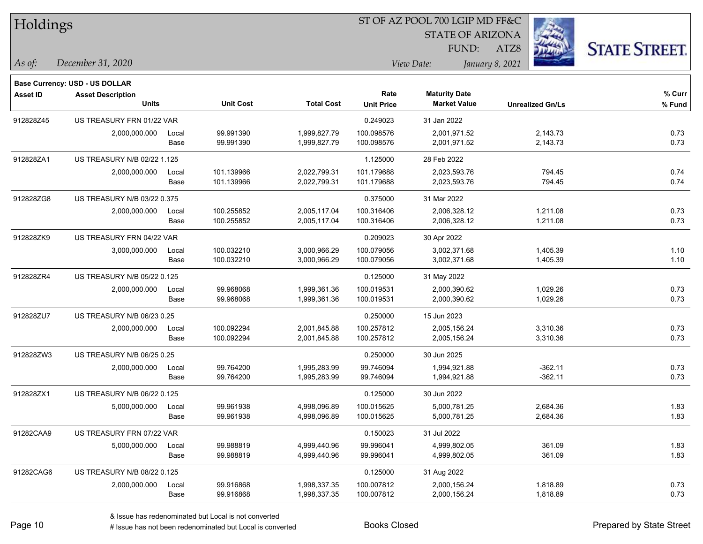| Holdings        |                                |       |                  |                   |                   | ST OF AZ POOL 700 LGIP MD FF&C |                         |                      |
|-----------------|--------------------------------|-------|------------------|-------------------|-------------------|--------------------------------|-------------------------|----------------------|
|                 |                                |       |                  |                   |                   | <b>STATE OF ARIZONA</b>        |                         |                      |
|                 |                                |       |                  |                   |                   | FUND:                          | ATZ8                    | <b>STATE STREET.</b> |
| As of:          | December 31, 2020              |       |                  |                   |                   | View Date:                     | January 8, 2021         |                      |
|                 | Base Currency: USD - US DOLLAR |       |                  |                   |                   |                                |                         |                      |
| <b>Asset ID</b> | <b>Asset Description</b>       |       |                  |                   | Rate              | <b>Maturity Date</b>           |                         | % Curr               |
|                 | Units                          |       | <b>Unit Cost</b> | <b>Total Cost</b> | <b>Unit Price</b> | <b>Market Value</b>            | <b>Unrealized Gn/Ls</b> | % Fund               |
| 912828Z45       | US TREASURY FRN 01/22 VAR      |       |                  |                   | 0.249023          | 31 Jan 2022                    |                         |                      |
|                 | 2,000,000.000                  | Local | 99.991390        | 1,999,827.79      | 100.098576        | 2,001,971.52                   | 2,143.73                | 0.73                 |
|                 |                                | Base  | 99.991390        | 1,999,827.79      | 100.098576        | 2,001,971.52                   | 2,143.73                | 0.73                 |
| 912828ZA1       | US TREASURY N/B 02/22 1.125    |       |                  |                   | 1.125000          | 28 Feb 2022                    |                         |                      |
|                 | 2,000,000.000                  | Local | 101.139966       | 2,022,799.31      | 101.179688        | 2,023,593.76                   | 794.45                  | 0.74                 |
|                 |                                | Base  | 101.139966       | 2,022,799.31      | 101.179688        | 2,023,593.76                   | 794.45                  | 0.74                 |
| 912828ZG8       | US TREASURY N/B 03/22 0.375    |       |                  |                   | 0.375000          | 31 Mar 2022                    |                         |                      |
|                 | 2,000,000.000                  | Local | 100.255852       | 2,005,117.04      | 100.316406        | 2,006,328.12                   | 1,211.08                | 0.73                 |
|                 |                                | Base  | 100.255852       | 2,005,117.04      | 100.316406        | 2,006,328.12                   | 1,211.08                | 0.73                 |
| 912828ZK9       | US TREASURY FRN 04/22 VAR      |       |                  |                   | 0.209023          | 30 Apr 2022                    |                         |                      |
|                 | 3,000,000.000                  | Local | 100.032210       | 3,000,966.29      | 100.079056        | 3,002,371.68                   | 1,405.39                | 1.10                 |
|                 |                                | Base  | 100.032210       | 3,000,966.29      | 100.079056        | 3,002,371.68                   | 1,405.39                | 1.10                 |
| 912828ZR4       | US TREASURY N/B 05/22 0.125    |       |                  |                   | 0.125000          | 31 May 2022                    |                         |                      |
|                 | 2,000,000.000                  | Local | 99.968068        | 1,999,361.36      | 100.019531        | 2,000,390.62                   | 1,029.26                | 0.73                 |
|                 |                                | Base  | 99.968068        | 1,999,361.36      | 100.019531        | 2,000,390.62                   | 1,029.26                | 0.73                 |
| 912828ZU7       | US TREASURY N/B 06/23 0.25     |       |                  |                   | 0.250000          | 15 Jun 2023                    |                         |                      |
|                 | 2,000,000.000                  | Local | 100.092294       | 2,001,845.88      | 100.257812        | 2,005,156.24                   | 3,310.36                | 0.73                 |
|                 |                                | Base  | 100.092294       | 2,001,845.88      | 100.257812        | 2,005,156.24                   | 3,310.36                | 0.73                 |
| 912828ZW3       | US TREASURY N/B 06/25 0.25     |       |                  |                   | 0.250000          | 30 Jun 2025                    |                         |                      |
|                 | 2,000,000.000                  | Local | 99.764200        | 1,995,283.99      | 99.746094         | 1,994,921.88                   | $-362.11$               | 0.73                 |
|                 |                                | Base  | 99.764200        | 1,995,283.99      | 99.746094         | 1,994,921.88                   | $-362.11$               | 0.73                 |
| 912828ZX1       | US TREASURY N/B 06/22 0.125    |       |                  |                   | 0.125000          | 30 Jun 2022                    |                         |                      |
|                 | 5,000,000.000                  | Local | 99.961938        | 4,998,096.89      | 100.015625        | 5,000,781.25                   | 2,684.36                | 1.83                 |
|                 |                                | Base  | 99.961938        | 4,998,096.89      | 100.015625        | 5,000,781.25                   | 2,684.36                | 1.83                 |
| 91282CAA9       | US TREASURY FRN 07/22 VAR      |       |                  |                   | 0.150023          | 31 Jul 2022                    |                         |                      |
|                 | 5,000,000.000                  | Local | 99.988819        | 4,999,440.96      | 99.996041         | 4,999,802.05                   | 361.09                  | 1.83                 |
|                 |                                | Base  | 99.988819        | 4,999,440.96      | 99.996041         | 4,999,802.05                   | 361.09                  | 1.83                 |
| 91282CAG6       | US TREASURY N/B 08/22 0.125    |       |                  |                   | 0.125000          | 31 Aug 2022                    |                         |                      |
|                 | 2,000,000.000                  | Local | 99.916868        | 1,998,337.35      | 100.007812        | 2,000,156.24                   | 1,818.89                | 0.73                 |
|                 |                                | Base  | 99.916868        | 1,998,337.35      | 100.007812        | 2,000,156.24                   | 1,818.89                | 0.73                 |

 $\overline{\phantom{0}}$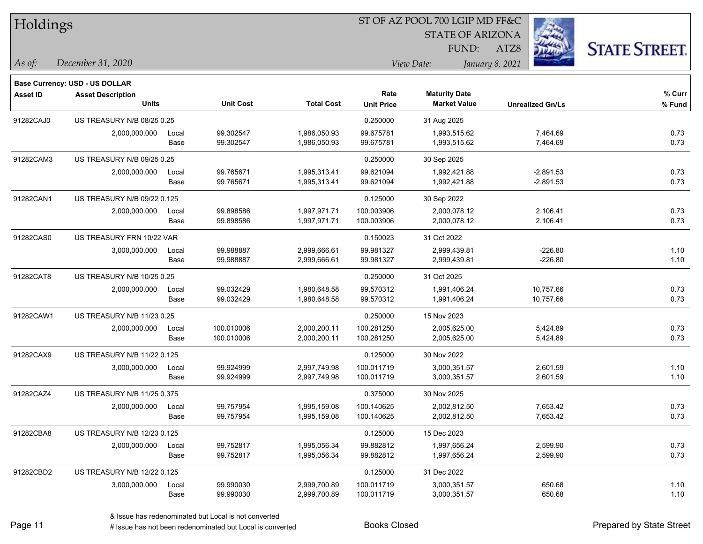| Holdings        |                                          |       |                  |                   |                           | ST OF AZ POOL 700 LGIP MD FF&C              |                         |                      |
|-----------------|------------------------------------------|-------|------------------|-------------------|---------------------------|---------------------------------------------|-------------------------|----------------------|
|                 |                                          |       |                  |                   |                           |                                             |                         |                      |
|                 |                                          |       |                  |                   |                           | FUND:                                       | ATZ8                    | <b>STATE STREET.</b> |
| $\vert$ As of:  | December 31, 2020                        |       |                  |                   |                           | View Date:                                  | January 8, 2021         |                      |
|                 |                                          |       |                  |                   |                           |                                             |                         |                      |
|                 | Base Currency: USD - US DOLLAR           |       |                  |                   |                           |                                             |                         |                      |
| <b>Asset ID</b> | <b>Asset Description</b><br><b>Units</b> |       | <b>Unit Cost</b> | <b>Total Cost</b> | Rate<br><b>Unit Price</b> | <b>Maturity Date</b><br><b>Market Value</b> | <b>Unrealized Gn/Ls</b> | % Curr<br>% Fund     |
| 91282CAJ0       | US TREASURY N/B 08/25 0.25               |       |                  |                   | 0.250000                  | 31 Aug 2025                                 |                         |                      |
|                 | 2,000,000.000                            | Local | 99.302547        | 1,986,050.93      | 99.675781                 | 1,993,515.62                                | 7,464.69                | 0.73                 |
|                 |                                          | Base  | 99.302547        | 1,986,050.93      | 99.675781                 | 1,993,515.62                                | 7,464.69                | 0.73                 |
| 91282CAM3       | US TREASURY N/B 09/25 0.25               |       |                  |                   | 0.250000                  | 30 Sep 2025                                 |                         |                      |
|                 | 2,000,000.000                            | Local | 99.765671        | 1,995,313.41      | 99.621094                 | 1,992,421.88                                | $-2,891.53$             | 0.73                 |
|                 |                                          | Base  | 99.765671        | 1,995,313.41      | 99.621094                 | 1,992,421.88                                | $-2,891.53$             | 0.73                 |
| 91282CAN1       | US TREASURY N/B 09/22 0.125              |       |                  |                   | 0.125000                  | 30 Sep 2022                                 |                         |                      |
|                 | 2,000,000.000                            | Local | 99.898586        | 1,997,971.71      | 100.003906                | 2,000,078.12                                | 2,106.41                | 0.73                 |
|                 |                                          | Base  | 99.898586        | 1,997,971.71      | 100.003906                | 2,000,078.12                                | 2,106.41                | 0.73                 |
| 91282CAS0       | US TREASURY FRN 10/22 VAR                |       |                  |                   | 0.150023                  | 31 Oct 2022                                 |                         |                      |
|                 | 3,000,000.000                            | Local | 99.988887        | 2,999,666.61      | 99.981327                 | 2,999,439.81                                | $-226.80$               | 1.10                 |
|                 |                                          | Base  | 99.988887        | 2,999,666.61      | 99.981327                 | 2,999,439.81                                | $-226.80$               | 1.10                 |
| 91282CAT8       | US TREASURY N/B 10/25 0.25               |       |                  |                   | 0.250000                  | 31 Oct 2025                                 |                         |                      |
|                 | 2,000,000.000                            | Local | 99.032429        | 1,980,648.58      | 99.570312                 | 1,991,406.24                                | 10,757.66               | 0.73                 |
|                 |                                          | Base  | 99.032429        | 1,980,648.58      | 99.570312                 | 1,991,406.24                                | 10,757.66               | 0.73                 |
| 91282CAW1       | US TREASURY N/B 11/23 0.25               |       |                  |                   | 0.250000                  | 15 Nov 2023                                 |                         |                      |
|                 | 2,000,000.000                            | Local | 100.010006       | 2,000,200.11      | 100.281250                | 2,005,625.00                                | 5,424.89                | 0.73                 |
|                 |                                          | Base  | 100.010006       | 2,000,200.11      | 100.281250                | 2,005,625.00                                | 5,424.89                | 0.73                 |
| 91282CAX9       | US TREASURY N/B 11/22 0.125              |       |                  |                   | 0.125000                  | 30 Nov 2022                                 |                         |                      |
|                 | 3,000,000.000                            | Local | 99.924999        | 2,997,749.98      | 100.011719                | 3,000,351.57                                | 2,601.59                | 1.10                 |
|                 |                                          | Base  | 99.924999        | 2,997,749.98      | 100.011719                | 3,000,351.57                                | 2,601.59                | 1.10                 |
| 91282CAZ4       | US TREASURY N/B 11/25 0.375              |       |                  |                   | 0.375000                  | 30 Nov 2025                                 |                         |                      |
|                 | 2,000,000.000                            | Local | 99.757954        | 1,995,159.08      | 100.140625                | 2,002,812.50                                | 7,653.42                | 0.73                 |
|                 |                                          | Base  | 99.757954        | 1,995,159.08      | 100.140625                | 2,002,812.50                                | 7,653.42                | 0.73                 |
| 91282CBA8       | US TREASURY N/B 12/23 0.125              |       |                  |                   | 0.125000                  | 15 Dec 2023                                 |                         |                      |
|                 | 2,000,000.000                            | Local | 99.752817        | 1,995,056.34      | 99.882812                 | 1,997,656.24                                | 2,599.90                | 0.73                 |
|                 |                                          | Base  | 99.752817        | 1,995,056.34      | 99.882812                 | 1,997,656.24                                | 2,599.90                | 0.73                 |
| 91282CBD2       | US TREASURY N/B 12/22 0.125              |       |                  |                   | 0.125000                  | 31 Dec 2022                                 |                         |                      |
|                 | 3,000,000.000                            | Local | 99.990030        | 2,999,700.89      | 100.011719                | 3,000,351.57                                | 650.68                  | 1.10                 |
|                 |                                          | Base  | 99.990030        | 2,999,700.89      | 100.011719                | 3,000,351.57                                | 650.68                  | 1.10                 |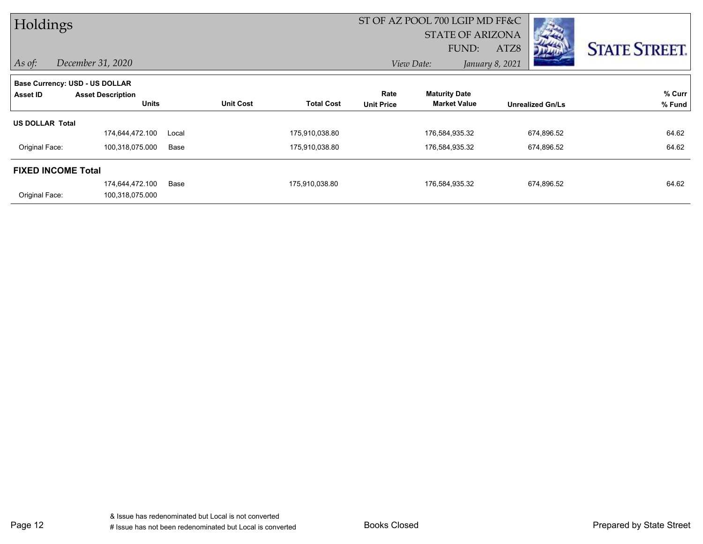| Holdings                                          |                                          |       |                  |                   |                           | ST OF AZ POOL 700 LGIP MD FF&C<br><b>STATE OF ARIZONA</b><br>FUND: | ATZ8<br>المنطلق         | <b>STATE STREET.</b> |
|---------------------------------------------------|------------------------------------------|-------|------------------|-------------------|---------------------------|--------------------------------------------------------------------|-------------------------|----------------------|
| $\vert$ As of:                                    | December 31, 2020                        |       |                  |                   |                           | View Date:                                                         | January 8, 2021         |                      |
| Base Currency: USD - US DOLLAR<br><b>Asset ID</b> | <b>Asset Description</b><br><b>Units</b> |       | <b>Unit Cost</b> | <b>Total Cost</b> | Rate<br><b>Unit Price</b> | <b>Maturity Date</b><br><b>Market Value</b>                        | <b>Unrealized Gn/Ls</b> | % Curr<br>% Fund     |
| <b>US DOLLAR Total</b>                            | 174,644,472.100                          | Local |                  | 175,910,038.80    |                           | 176,584,935.32                                                     | 674,896.52              | 64.62                |
| Original Face:                                    | 100,318,075.000                          | Base  |                  | 175,910,038.80    |                           | 176,584,935.32                                                     | 674,896.52              | 64.62                |
| <b>FIXED INCOME Total</b>                         |                                          |       |                  |                   |                           |                                                                    |                         |                      |
| Original Face:                                    | 174,644,472.100<br>100,318,075.000       | Base  |                  | 175,910,038.80    |                           | 176,584,935.32                                                     | 674,896.52              | 64.62                |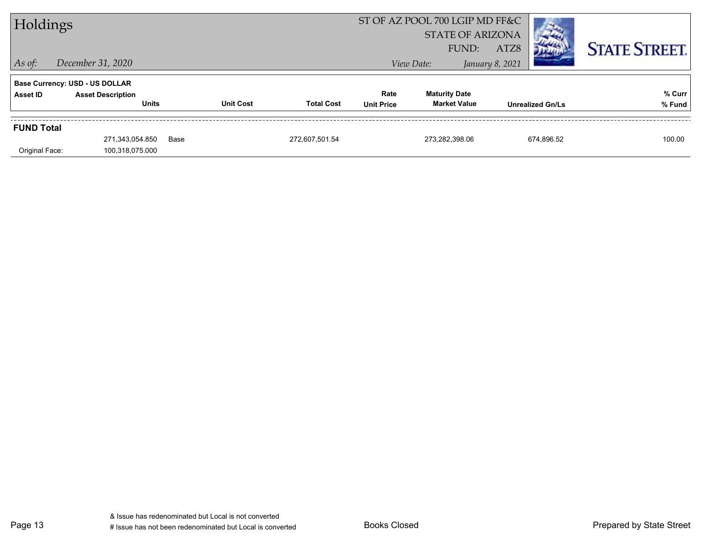| Holdings          |                                          |      |                  |                   | ST OF AZ POOL 700 LGIP MD FF&C<br><b>STATE OF ARIZONA</b><br>FUND: | ATZ8                                        |                 | <b>STATE STREET.</b>    |                  |
|-------------------|------------------------------------------|------|------------------|-------------------|--------------------------------------------------------------------|---------------------------------------------|-----------------|-------------------------|------------------|
| $\vert$ As of:    | December 31, 2020                        |      |                  |                   |                                                                    | View Date:                                  | January 8, 2021 |                         |                  |
|                   | <b>Base Currency: USD - US DOLLAR</b>    |      |                  |                   |                                                                    |                                             |                 |                         |                  |
| Asset ID          | <b>Asset Description</b><br><b>Units</b> |      | <b>Unit Cost</b> | <b>Total Cost</b> | Rate<br><b>Unit Price</b>                                          | <b>Maturity Date</b><br><b>Market Value</b> |                 | <b>Unrealized Gn/Ls</b> | % Curr<br>% Fund |
| <b>FUND Total</b> |                                          |      |                  |                   |                                                                    |                                             |                 |                         |                  |
| Original Face:    | 271,343,054.850<br>100,318,075.000       | Base |                  | 272,607,501.54    |                                                                    | 273,282,398.06                              |                 | 674,896.52              | 100.00           |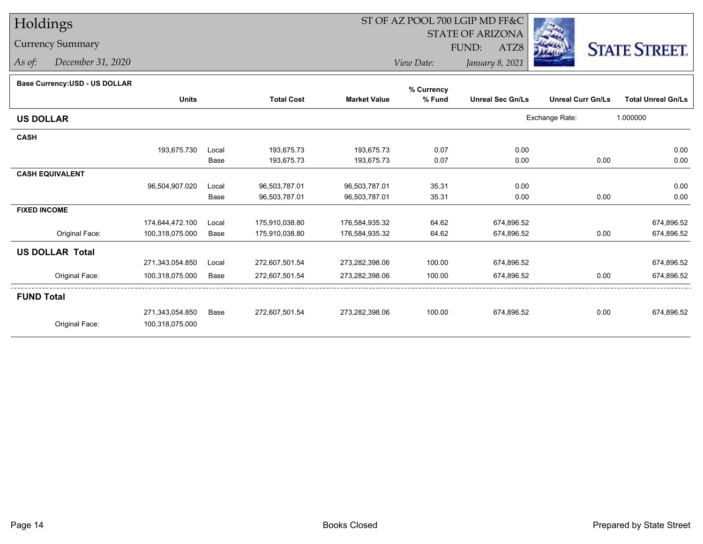## Currency Summary

*As of: December 31, 2020*

# ST OF AZ POOL 700 LGIP MD FF&C

STATE OF ARIZONA

ATZ8



*View Date:January 8, 2021*

FUND:

#### **Base Currency:USD - US DOLLAR**

|                        |                 |       |                   |                     | % Currency |                         |                          |                           |
|------------------------|-----------------|-------|-------------------|---------------------|------------|-------------------------|--------------------------|---------------------------|
|                        | <b>Units</b>    |       | <b>Total Cost</b> | <b>Market Value</b> | % Fund     | <b>Unreal Sec Gn/Ls</b> | <b>Unreal Curr Gn/Ls</b> | <b>Total Unreal Gn/Ls</b> |
| <b>US DOLLAR</b>       |                 |       |                   |                     |            |                         | Exchange Rate:           | 1.000000                  |
| <b>CASH</b>            |                 |       |                   |                     |            |                         |                          |                           |
|                        | 193,675.730     | Local | 193,675.73        | 193,675.73          | 0.07       | 0.00                    |                          | 0.00                      |
|                        |                 | Base  | 193,675.73        | 193,675.73          | 0.07       | 0.00                    | 0.00                     | 0.00                      |
| <b>CASH EQUIVALENT</b> |                 |       |                   |                     |            |                         |                          |                           |
|                        | 96,504,907.020  | Local | 96,503,787.01     | 96,503,787.01       | 35.31      | 0.00                    |                          | 0.00                      |
|                        |                 | Base  | 96,503,787.01     | 96,503,787.01       | 35.31      | 0.00                    | 0.00                     | 0.00                      |
| <b>FIXED INCOME</b>    |                 |       |                   |                     |            |                         |                          |                           |
|                        | 174,644,472.100 | Local | 175,910,038.80    | 176,584,935.32      | 64.62      | 674,896.52              |                          | 674,896.52                |
| Original Face:         | 100,318,075.000 | Base  | 175,910,038.80    | 176,584,935.32      | 64.62      | 674,896.52              | 0.00                     | 674,896.52                |
| <b>US DOLLAR Total</b> |                 |       |                   |                     |            |                         |                          |                           |
|                        | 271,343,054.850 | Local | 272,607,501.54    | 273,282,398.06      | 100.00     | 674,896.52              |                          | 674,896.52                |
| Original Face:         | 100,318,075.000 | Base  | 272,607,501.54    | 273,282,398.06      | 100.00     | 674,896.52              | 0.00                     | 674,896.52                |
| <b>FUND Total</b>      |                 |       |                   |                     |            |                         |                          |                           |
|                        | 271,343,054.850 | Base  | 272,607,501.54    | 273,282,398.06      | 100.00     | 674,896.52              | 0.00                     | 674,896.52                |
| Original Face:         | 100,318,075.000 |       |                   |                     |            |                         |                          |                           |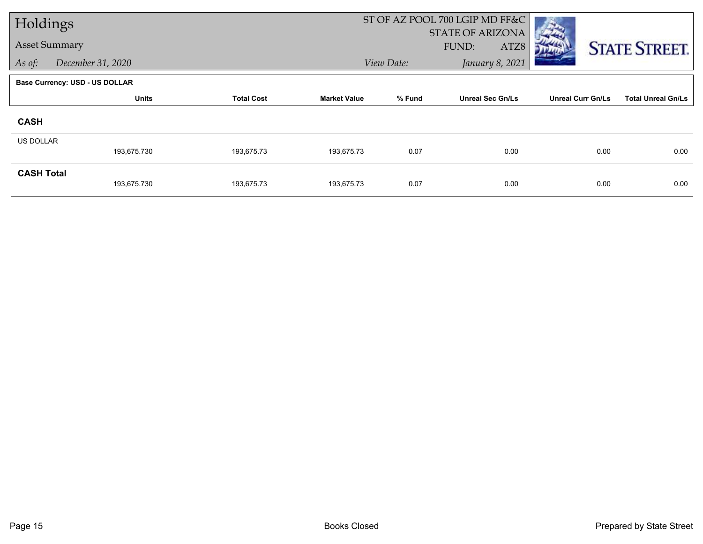| Holdings             |                                |                   |                     |            | ST OF AZ POOL 700 LGIP MD FF&C |                          |                           |
|----------------------|--------------------------------|-------------------|---------------------|------------|--------------------------------|--------------------------|---------------------------|
|                      |                                |                   |                     |            | <b>STATE OF ARIZONA</b>        |                          |                           |
| <b>Asset Summary</b> |                                |                   |                     |            | FUND:<br>ATZ8                  |                          | <b>STATE STREET.</b>      |
| As of:               | December 31, 2020              |                   |                     | View Date: | January 8, 2021                |                          |                           |
|                      | Base Currency: USD - US DOLLAR |                   |                     |            |                                |                          |                           |
|                      | <b>Units</b>                   | <b>Total Cost</b> | <b>Market Value</b> | % Fund     | <b>Unreal Sec Gn/Ls</b>        | <b>Unreal Curr Gn/Ls</b> | <b>Total Unreal Gn/Ls</b> |
| <b>CASH</b>          |                                |                   |                     |            |                                |                          |                           |
| <b>US DOLLAR</b>     |                                |                   |                     |            |                                |                          |                           |
|                      | 193,675.730                    | 193,675.73        | 193,675.73          | 0.07       | 0.00                           | 0.00                     | 0.00                      |
| <b>CASH Total</b>    |                                |                   |                     |            |                                |                          |                           |
|                      | 193,675.730                    | 193,675.73        | 193,675.73          | 0.07       | 0.00                           | 0.00                     | 0.00                      |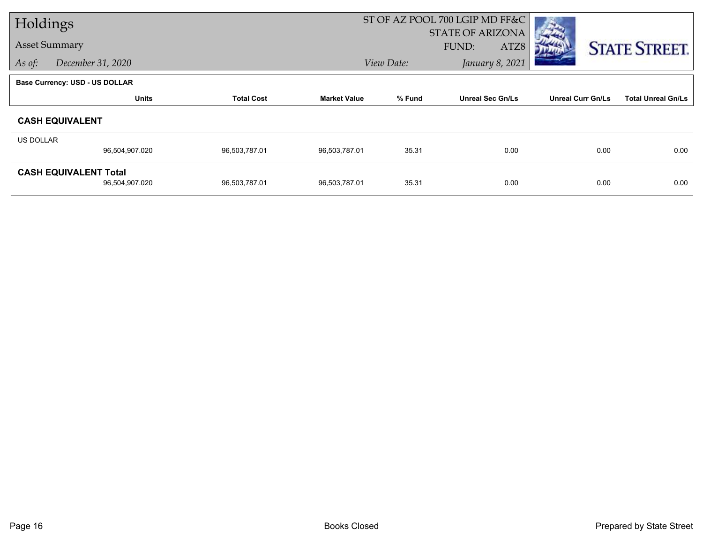| Holdings             |                                                |                   |                     |            | ST OF AZ POOL 700 LGIP MD FF&C |                          |                           |
|----------------------|------------------------------------------------|-------------------|---------------------|------------|--------------------------------|--------------------------|---------------------------|
|                      |                                                |                   |                     |            | <b>STATE OF ARIZONA</b>        |                          |                           |
| <b>Asset Summary</b> |                                                |                   |                     |            | FUND:<br>ATZ8                  |                          | <b>STATE STREET.</b>      |
| As of:               | December 31, 2020                              |                   |                     | View Date: | January 8, 2021                |                          |                           |
|                      | <b>Base Currency: USD - US DOLLAR</b>          |                   |                     |            |                                |                          |                           |
|                      | <b>Units</b>                                   | <b>Total Cost</b> | <b>Market Value</b> | % Fund     | <b>Unreal Sec Gn/Ls</b>        | <b>Unreal Curr Gn/Ls</b> | <b>Total Unreal Gn/Ls</b> |
|                      | <b>CASH EQUIVALENT</b>                         |                   |                     |            |                                |                          |                           |
| US DOLLAR            |                                                |                   |                     |            |                                |                          |                           |
|                      | 96,504,907.020                                 | 96,503,787.01     | 96,503,787.01       | 35.31      | 0.00                           | 0.00                     | 0.00                      |
|                      | <b>CASH EQUIVALENT Total</b><br>96,504,907.020 | 96,503,787.01     | 96,503,787.01       | 35.31      | 0.00                           | 0.00                     | 0.00                      |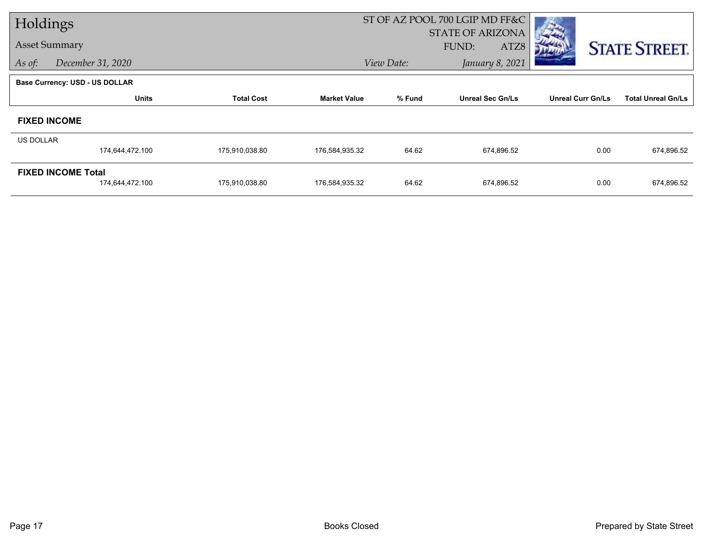| Holdings         |                                       |                   |                     |            | ST OF AZ POOL 700 LGIP MD FF&C |                          |                           |
|------------------|---------------------------------------|-------------------|---------------------|------------|--------------------------------|--------------------------|---------------------------|
|                  |                                       |                   |                     |            | <b>STATE OF ARIZONA</b>        |                          |                           |
|                  | <b>Asset Summary</b>                  |                   |                     |            | FUND:<br>ATZ8                  |                          | <b>STATE STREET.</b>      |
| As of:           | December 31, 2020                     |                   |                     | View Date: | January 8, 2021                |                          |                           |
|                  | <b>Base Currency: USD - US DOLLAR</b> |                   |                     |            |                                |                          |                           |
|                  | <b>Units</b>                          | <b>Total Cost</b> | <b>Market Value</b> | % Fund     | <b>Unreal Sec Gn/Ls</b>        | <b>Unreal Curr Gn/Ls</b> | <b>Total Unreal Gn/Ls</b> |
|                  | <b>FIXED INCOME</b>                   |                   |                     |            |                                |                          |                           |
| <b>US DOLLAR</b> |                                       |                   |                     |            |                                |                          |                           |
|                  | 174,644,472.100                       | 175,910,038.80    | 176,584,935.32      | 64.62      | 674,896.52                     | 0.00                     | 674,896.52                |
|                  | <b>FIXED INCOME Total</b>             |                   |                     |            |                                |                          |                           |
|                  | 174,644,472.100                       | 175,910,038.80    | 176,584,935.32      | 64.62      | 674,896.52                     | 0.00                     | 674,896.52                |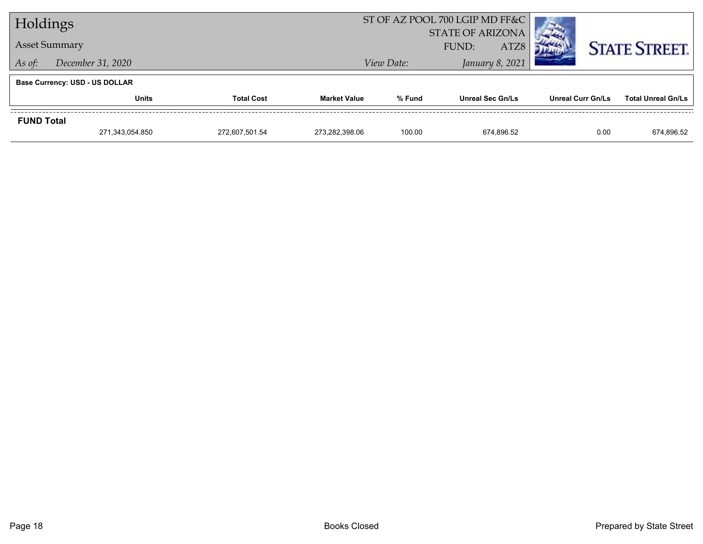| Holdings                    |                                       |                |                     | ST OF AZ POOL 700 LGIP MD FF&C |                         |                          |                           |
|-----------------------------|---------------------------------------|----------------|---------------------|--------------------------------|-------------------------|--------------------------|---------------------------|
|                             |                                       |                |                     | <b>STATE OF ARIZONA</b>        |                         |                          |                           |
|                             | <b>Asset Summary</b>                  |                |                     | ATZ8<br>FUND:                  |                         |                          | <b>STATE STREET.</b>      |
| December 31, 2020<br>As of: |                                       |                |                     | View Date:                     | January 8, 2021         |                          |                           |
|                             | <b>Base Currency: USD - US DOLLAR</b> |                |                     |                                |                         |                          |                           |
|                             | <b>Total Cost</b><br><b>Units</b>     |                | <b>Market Value</b> | % Fund                         | <b>Unreal Sec Gn/Ls</b> | <b>Unreal Curr Gn/Ls</b> | <b>Total Unreal Gn/Ls</b> |
| <b>FUND Total</b>           |                                       |                |                     |                                |                         |                          |                           |
|                             | 271,343,054.850                       | 272.607.501.54 | 273.282.398.06      | 100.00                         | 674.896.52              | 0.00                     | 674,896.52                |